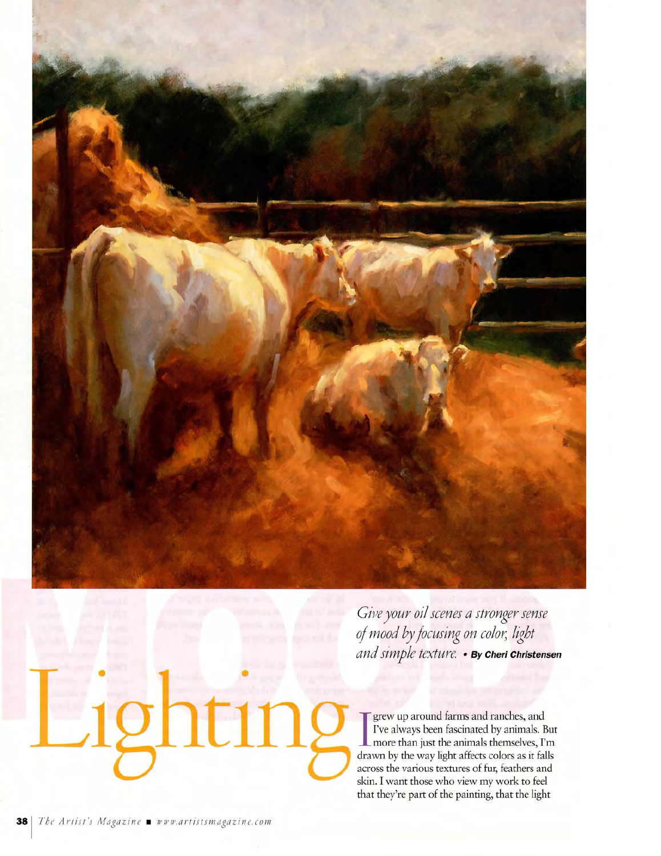

*Gii;e your oil scenes a stronger sense of mood by focusing on coloYy light and simple texture.* • *By* **Cheri Christensen** 

grew up around farms and ranches, and I've always been fascinated by animals. But more than just the animals themselves, I'm drawn by the way light affects colors as it falls across the various textures of fur, feathers and skin. I want those who view my work to feel that they're part of the painting, that the light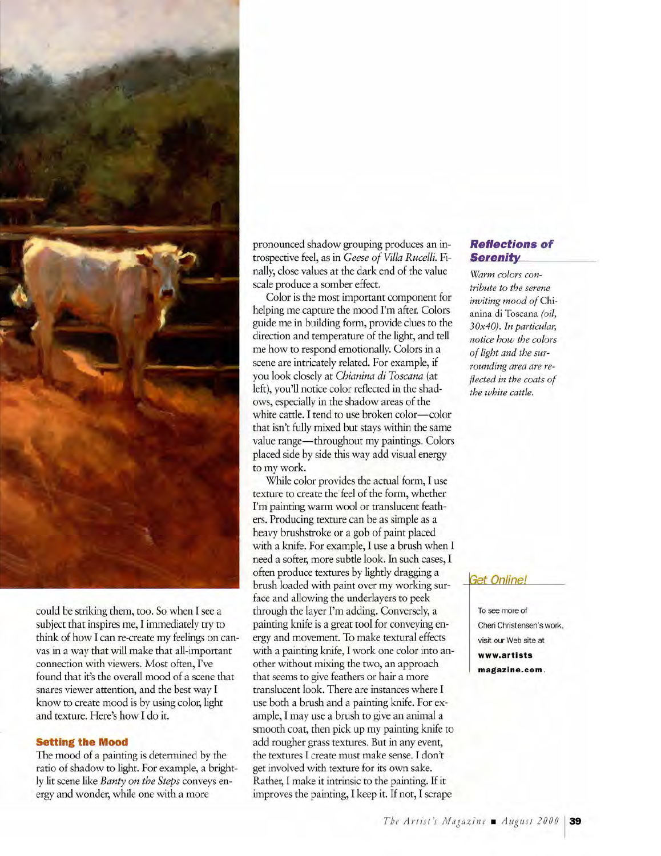

could be striking them, too. So when I see a subject that inspires me, I immediately try to think of how I can re-create my feelings on canvas in a way that will make that all-important connection with viewers. Most often, I've found that it's the overall mood of a scene that snares viewer attention, and the best way I know to create mood is by using color, light and texture. Here's how I do it.

## **Setting the Mood**

The mood of a painting is determined by the ratio of shadow to light. For example, a brightly lit scene like *Banty on the Steps* conveys energy and wonder, while one with a more

pronounced shadow grouping produces an introspective feel, as in *Geese of Villa Rucelli.* Finally, close values at the dark end of the value scale produce a somber effect.

Color is the most important component for helping me capture the mood I'm after. Colors guide me in building form, provide clues to the direction and temperature of the light, and tell me how to respond emotionally. Colors in a scene are intricately related. For example, if you look closely at *Chianina di Toscana* (at left), you'll notice color reflected in the shadows, especially in the shadow areas of the white cattle. I tend to use broken color-color that isn't fully mixed but stays within the same value range-throughout my paintings. Colors placed side by side this way add visual energy to my work.

While color provides the actual form, I use texture to create the feel of the form, whether I'm painting warm wool or translucent feathers. Producing texture can be as simple as a heavy brushstroke or a gob of paint placed with a knife. For example, I use a brush when I need a softer, more subtle look. In such cases, I often produce textures by lightly dragging a brush loaded with paint over my working surface and allowing the underlayers to peek through the layer I'm adding. Conversely, a painting knife is a great tool for conveying energy and movement. To make textural effects with a painting knife, I work one color into another without mixing the two, an approach that seems to give feathers or hair a more translucent look. There are instances where I use both a brush and a painting knife. For example, I may use a brush to give an animal a smooth coat, then pick up my painting knife to add rougher grass textures. But in any event, the textures I create must make sense. I don't get involved with texture for its own sake. Rather, I make it intrinsic to the painting. If it improves the painting, I keep it. If not, I scrape

# **Reflections of**  *Serenity*

*Warm colors contribute to the serene inviting mood of* Chianina di Toscana *(oil, 30x40). In particular, notice how the colors of light and the surrounding area are reflected in the coats of the white cattle.* 

## **Get Online!**

To see more of Cheri Christensen's work , visit our Web site at **www.artists magazine.com.**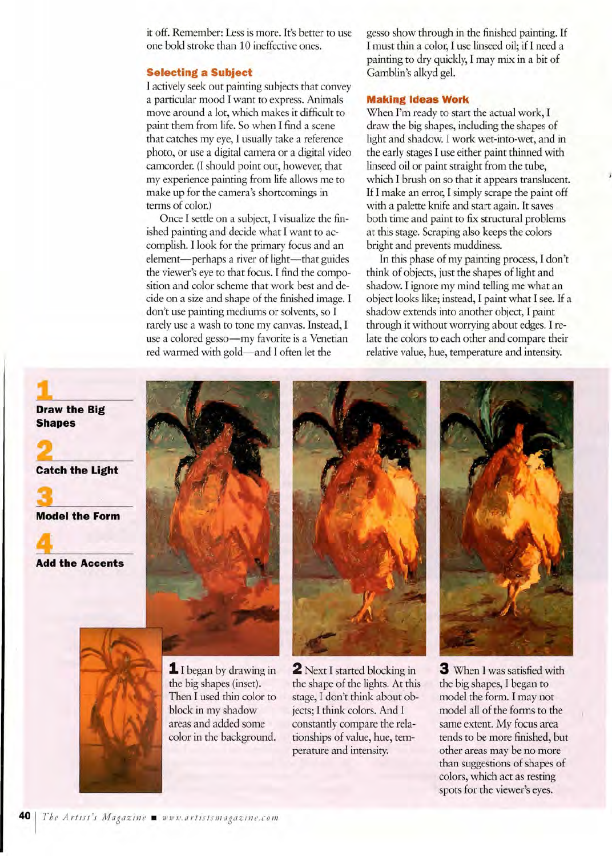it off. Remember: Less is more. It's better to use one bold stroke than 10 ineffective ones.

#### **Selecting a Subject**

I actively seek out painting subjects that convey a particular mood I want to express. Animals move around a lot, which makes it difficult to paint them from life. So when I find a scene that catches my eye, I usually take a reference photo, or use a digital camera or a digital video camcorder. (I should point out, however, that my experience painting from life allows me to make up for the camera's shortcomings in terms of color.)

Once I settle on a subject, I visualize the finished painting and decide what I want to accomplish. I look for the primary focus and an element-perhaps a river of light-that guides the viewer's eye to that focus. I find the composition and color scheme that work best and decide on a size and shape of the finished image. I don't use painting mediums or solvents, so I rarely use a wash to tone my canvas. Instead, I use a colored gesso-my favorite is a Venetian red warmed with gold-and I often let the

gesso show through in the finished painting. If I must thin a color, I use linseed oil; if I need a painting to dry quickly, I may mix in a bit of Gamblin's alkyd gel.

#### **Making Ideas Work**

When I'm ready to start the actual work, I draw the big shapes, including the shapes of light and shadow. I work wet-into-wet, and in the early stages I use either paint thinned with linseed oil or paint straight from the tube, which I brush on so that it appears translucent. If I make an error, I simply scrape the paint off with a palette knife and start again. It saves both time and paint to fix structural problems at this stage. Scraping also keeps the colors bright and prevents muddiness.

In this phase of my painting process, I don't think of objects, just the shapes of light and shadow. I ignore my mind telling me what an object looks like; instead, I paint what I see. If a shadow extends into another object, I paint through it without worrying about edges. I relate the colors to each other and compare their relative value, hue, temperature and intensity.

**Draw the Big Shapes** 

**Catch the Light** 

**3 Model the Form** 

**Add the Accents** 









**1** I began by drawing in the big shapes (inset). Then I used thin color to block in my shadow areas and added some color in the background.

**2** Next I started blocking in the shape of the lights. At this stage, I don't think about objects; I think colors. And I constantly compare the relationships of value, hue, temperature and intensity.

**3** When I was satisfied with the big shapes, I began to model the form. I may not model all of the forms to the same extent. My focus area tends to be more finished, but other areas may be no more than suggestions of shapes of colors, which act as resting spots for the viewer's eyes.